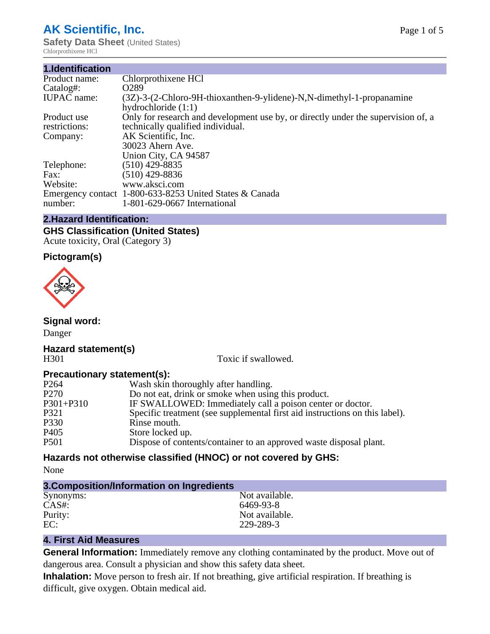## **AK Scientific, Inc.**

**Safety Data Sheet (United States)** Chlorprothixene HCl

| 1.Identification   |                                                                                                       |
|--------------------|-------------------------------------------------------------------------------------------------------|
| Product name:      | Chlorprothixene HCl                                                                                   |
| Catalog#:          | O <sub>289</sub>                                                                                      |
| <b>IUPAC</b> name: | $(3Z)$ -3- $(2$ -Chloro-9H-thioxanthen-9-ylidene)-N,N-dimethyl-1-propanamine<br>hydrochloride $(1:1)$ |
| Product use        | Only for research and development use by, or directly under the supervision of, a                     |
| restrictions:      | technically qualified individual.                                                                     |
| Company:           | AK Scientific, Inc.                                                                                   |
|                    | 30023 Ahern Ave.                                                                                      |
|                    | Union City, CA 94587                                                                                  |
| Telephone:         | $(510)$ 429-8835                                                                                      |
| Fax:               | $(510)$ 429-8836                                                                                      |
| Website:           | www.aksci.com                                                                                         |
|                    | Emergency contact 1-800-633-8253 United States & Canada                                               |
| number:            | 1-801-629-0667 International                                                                          |

### **2.Hazard Identification:**

### **GHS Classification (United States)**

Acute toxicity, Oral (Category 3)

### **Pictogram(s)**



**Signal word:**

Danger

# **Hazard statement(s)**

Toxic if swallowed.

### **Precautionary statement(s):**

| P <sub>264</sub> | Wash skin thoroughly after handling.                                        |
|------------------|-----------------------------------------------------------------------------|
| P <sub>270</sub> | Do not eat, drink or smoke when using this product.                         |
| $P301 + P310$    | IF SWALLOWED: Immediately call a poison center or doctor.                   |
| P321             | Specific treatment (see supplemental first aid instructions on this label). |
| P330             | Rinse mouth.                                                                |
| P <sub>405</sub> | Store locked up.                                                            |
| P501             | Dispose of contents/container to an approved waste disposal plant.          |
|                  |                                                                             |

### **Hazards not otherwise classified (HNOC) or not covered by GHS:**

None

| 3. Composition/Information on Ingredients |                |  |
|-------------------------------------------|----------------|--|
| Synonyms:                                 | Not available. |  |
| $CAS#$ :                                  | 6469-93-8      |  |
| Purity:                                   | Not available. |  |
| EC:                                       | 229-289-3      |  |

### **4. First Aid Measures**

**General Information:** Immediately remove any clothing contaminated by the product. Move out of dangerous area. Consult a physician and show this safety data sheet.

**Inhalation:** Move person to fresh air. If not breathing, give artificial respiration. If breathing is difficult, give oxygen. Obtain medical aid.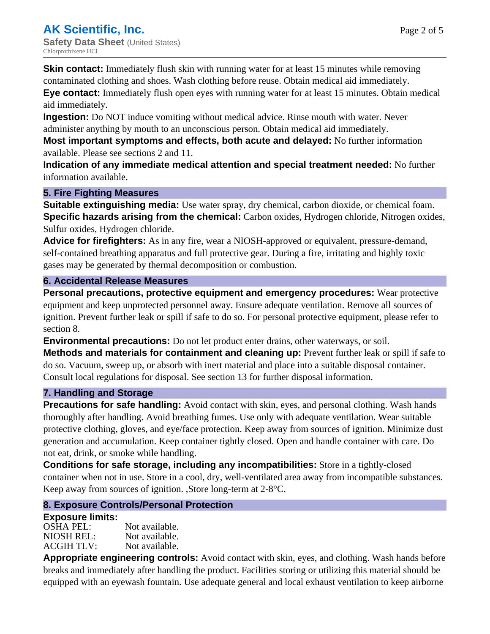**Skin contact:** Immediately flush skin with running water for at least 15 minutes while removing contaminated clothing and shoes. Wash clothing before reuse. Obtain medical aid immediately.

**Eye contact:** Immediately flush open eyes with running water for at least 15 minutes. Obtain medical aid immediately.

**Ingestion:** Do NOT induce vomiting without medical advice. Rinse mouth with water. Never administer anything by mouth to an unconscious person. Obtain medical aid immediately.

**Most important symptoms and effects, both acute and delayed:** No further information available. Please see sections 2 and 11.

**Indication of any immediate medical attention and special treatment needed:** No further information available.

### **5. Fire Fighting Measures**

**Suitable extinguishing media:** Use water spray, dry chemical, carbon dioxide, or chemical foam. **Specific hazards arising from the chemical:** Carbon oxides, Hydrogen chloride, Nitrogen oxides, Sulfur oxides, Hydrogen chloride.

**Advice for firefighters:** As in any fire, wear a NIOSH-approved or equivalent, pressure-demand, self-contained breathing apparatus and full protective gear. During a fire, irritating and highly toxic gases may be generated by thermal decomposition or combustion.

### **6. Accidental Release Measures**

**Personal precautions, protective equipment and emergency procedures:** Wear protective equipment and keep unprotected personnel away. Ensure adequate ventilation. Remove all sources of ignition. Prevent further leak or spill if safe to do so. For personal protective equipment, please refer to section 8.

**Environmental precautions:** Do not let product enter drains, other waterways, or soil.

**Methods and materials for containment and cleaning up:** Prevent further leak or spill if safe to do so. Vacuum, sweep up, or absorb with inert material and place into a suitable disposal container. Consult local regulations for disposal. See section 13 for further disposal information.

### **7. Handling and Storage**

**Precautions for safe handling:** Avoid contact with skin, eyes, and personal clothing. Wash hands thoroughly after handling. Avoid breathing fumes. Use only with adequate ventilation. Wear suitable protective clothing, gloves, and eye/face protection. Keep away from sources of ignition. Minimize dust generation and accumulation. Keep container tightly closed. Open and handle container with care. Do not eat, drink, or smoke while handling.

**Conditions for safe storage, including any incompatibilities:** Store in a tightly-closed container when not in use. Store in a cool, dry, well-ventilated area away from incompatible substances. Keep away from sources of ignition. ,Store long-term at 2-8°C.

### **8. Exposure Controls/Personal Protection**

### **Exposure limits:**

| <b>OSHA PEL:</b>  | Not available. |
|-------------------|----------------|
| NIOSH REL:        | Not available. |
| <b>ACGIH TLV:</b> | Not available. |

**Appropriate engineering controls:** Avoid contact with skin, eyes, and clothing. Wash hands before breaks and immediately after handling the product. Facilities storing or utilizing this material should be equipped with an eyewash fountain. Use adequate general and local exhaust ventilation to keep airborne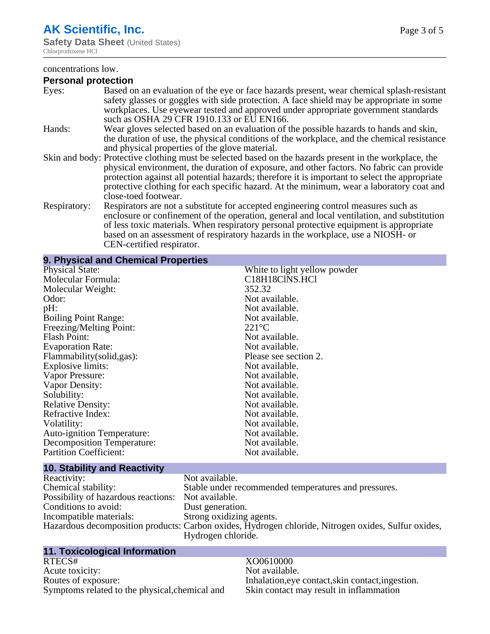### **AK Scientific, Inc.**

#### concentrations low.

### **Personal protection**

| Eyes:        | Based on an evaluation of the eye or face hazards present, wear chemical splash-resistant<br>safety glasses or goggles with side protection. A face shield may be appropriate in some<br>workplaces. Use eyewear tested and approved under appropriate government standards<br>such as OSHA 29 CFR 1910.133 or EU EN166.                                                                                                |
|--------------|-------------------------------------------------------------------------------------------------------------------------------------------------------------------------------------------------------------------------------------------------------------------------------------------------------------------------------------------------------------------------------------------------------------------------|
| Hands:       | Wear gloves selected based on an evaluation of the possible hazards to hands and skin,<br>the duration of use, the physical conditions of the workplace, and the chemical resistance<br>and physical properties of the glove material.                                                                                                                                                                                  |
|              | Skin and body: Protective clothing must be selected based on the hazards present in the workplace, the<br>physical environment, the duration of exposure, and other factors. No fabric can provide<br>protection against all potential hazards; therefore it is important to select the appropriate<br>protective clothing for each specific hazard. At the minimum, wear a laboratory coat and<br>close-toed footwear. |
| Respiratory: | Respirators are not a substitute for accepted engineering control measures such as<br>enclosure or confinement of the operation, general and local ventilation, and substitution<br>of less toxic materials. When respiratory personal protective equipment is appropriate<br>based on an assessment of respiratory hazards in the workplace, use a NIOSH- or<br>CEN-certified respirator.                              |

### **9. Physical and Chemical Properties**

| <b>Physical State:</b>            | White to light yellow powder |
|-----------------------------------|------------------------------|
| Molecular Formula:                | C18H18ClNS.HCl               |
| Molecular Weight:                 | 352.32                       |
| Odor:                             | Not available.               |
| pH:                               | Not available.               |
| <b>Boiling Point Range:</b>       | Not available.               |
| Freezing/Melting Point:           | $221^{\circ}C$               |
| <b>Flash Point:</b>               | Not available.               |
| <b>Evaporation Rate:</b>          | Not available.               |
| Flammability (solid, gas):        | Please see section 2.        |
| <b>Explosive limits:</b>          | Not available.               |
| Vapor Pressure:                   | Not available.               |
| Vapor Density:                    | Not available.               |
| Solubility:                       | Not available.               |
| <b>Relative Density:</b>          | Not available.               |
| Refractive Index:                 | Not available.               |
| Volatility:                       | Not available.               |
| <b>Auto-ignition Temperature:</b> | Not available.               |
| Decomposition Temperature:        | Not available.               |
| <b>Partition Coefficient:</b>     | Not available.               |
|                                   |                              |

### **10. Stability and Reactivity**

| Reactivity:                                        | Not available.                                                                                      |
|----------------------------------------------------|-----------------------------------------------------------------------------------------------------|
| Chemical stability:                                | Stable under recommended temperatures and pressures.                                                |
| Possibility of hazardous reactions: Not available. |                                                                                                     |
| Conditions to avoid:                               | Dust generation.                                                                                    |
| Incompatible materials:                            | Strong oxidizing agents.                                                                            |
|                                                    | Hazardous decomposition products: Carbon oxides, Hydrogen chloride, Nitrogen oxides, Sulfur oxides, |
|                                                    | Hydrogen chloride.                                                                                  |

# **11. Toxicological Information**

Acute toxicity:<br>Routes of exposure: Symptoms related to the physical, chemical and

# XO0610000<br>Not available. Inhalation,eye contact,skin contact,ingestion.<br>Skin contact may result in inflammation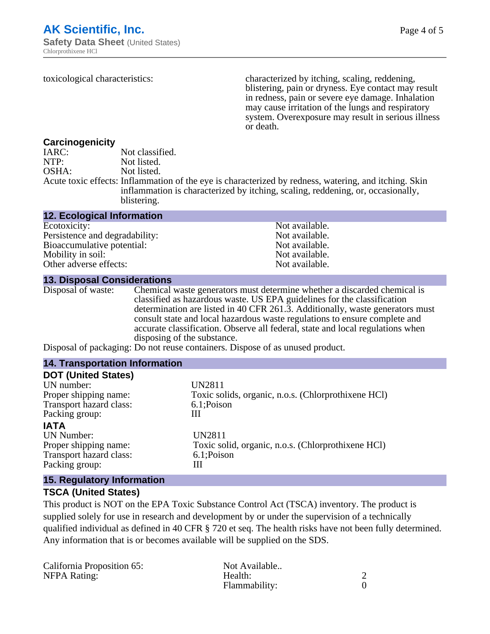Page 4 of 5

toxicological characteristics: characterized by itching, scaling, reddening, blistering, pain or dryness. Eye contact may result in redness, pain or severe eye damage. Inhalation may cause irritation of the lungs and respiratory system. Overexposure may result in serious illness or death.

### **Carcinogenicity**

| IARC: | Not classified.                                                                                                                                                                                         |
|-------|---------------------------------------------------------------------------------------------------------------------------------------------------------------------------------------------------------|
| NTP:  | Not listed.                                                                                                                                                                                             |
| OSHA: | Not listed.                                                                                                                                                                                             |
|       | Acute toxic effects: Inflammation of the eye is characterized by redness, watering, and itching. Skin<br>inflammation is characterized by itching, scaling, reddening, or, occasionally,<br>blistering. |

#### **12. Ecological Information**

| Ecotoxicity:                   | Not available. |
|--------------------------------|----------------|
| Persistence and degradability: | Not available. |
| Bioaccumulative potential:     | Not available. |
| Mobility in soil:              | Not available. |
| Other adverse effects:         | Not available. |

**13. Disposal Considerations** Chemical waste generators must determine whether a discarded chemical is classified as hazardous waste. US EPA guidelines for the classification determination are listed in 40 CFR 261.3. Additionally, waste generators must consult state and local hazardous waste regulations to ensure complete and accurate classification. Observe all federal, state and local regulations when disposing of the substance.

Disposal of packaging: Do not reuse containers. Dispose of as unused product.

| <b>14. Transportation Information</b> |                                                     |
|---------------------------------------|-----------------------------------------------------|
| <b>DOT (United States)</b>            |                                                     |
| UN number:                            | <b>UN2811</b>                                       |
| Proper shipping name:                 | Toxic solids, organic, n.o.s. (Chlorprothixene HCl) |
| Transport hazard class:               | 6.1;Poison                                          |
| Packing group:                        | Ш                                                   |
| <b>IATA</b>                           |                                                     |
| UN Number:                            | <b>UN2811</b>                                       |
| Proper shipping name:                 | Toxic solid, organic, n.o.s. (Chlorprothixene HCl)  |
| Transport hazard class:               | 6.1;Poison                                          |
| Packing group:                        | Ш                                                   |
| <b>15. Regulatory Information</b>     |                                                     |

### **TSCA (United States)**

This product is NOT on the EPA Toxic Substance Control Act (TSCA) inventory. The product is supplied solely for use in research and development by or under the supervision of a technically qualified individual as defined in 40 CFR § 720 et seq. The health risks have not been fully determined. Any information that is or becomes available will be supplied on the SDS.

| California Proposition 65: | Not Available |  |
|----------------------------|---------------|--|
| <b>NFPA Rating:</b>        | Health:       |  |
|                            | Flammability: |  |